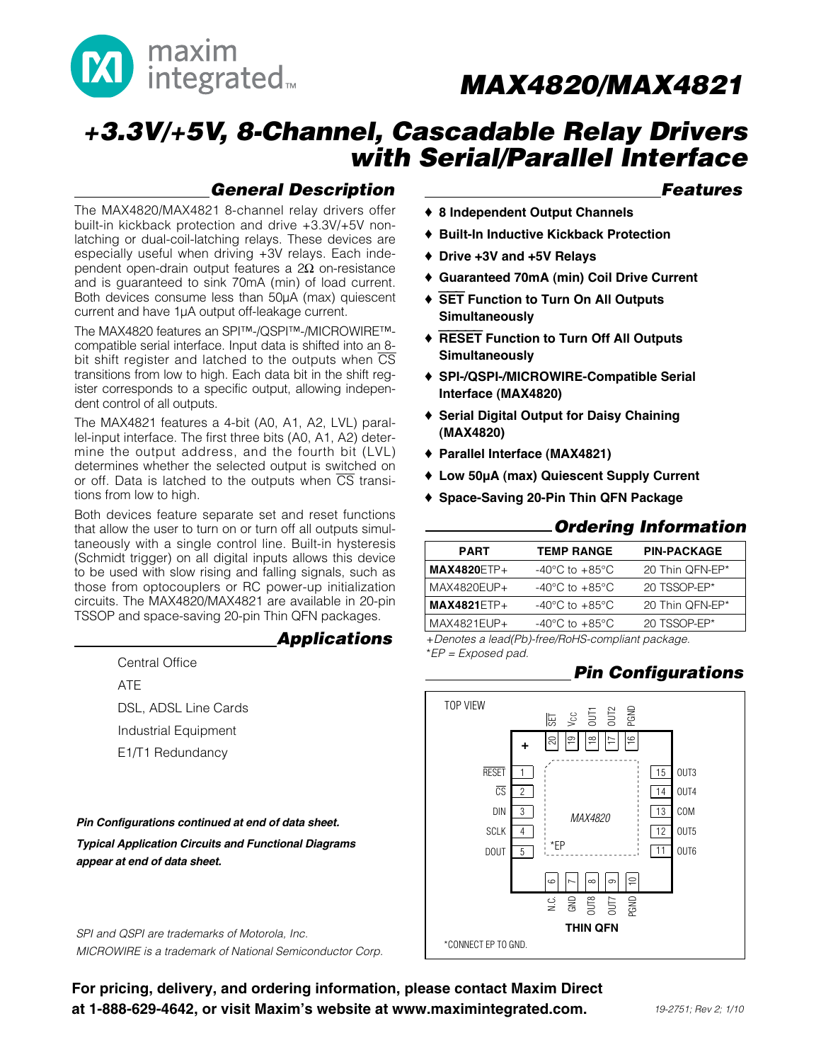

# **+3.3V/+5V, 8-Channel, Cascadable Relay Drivers with Serial/Parallel Interface**

### **General Description**

The MAX4820/MAX4821 8-channel relay drivers offer built-in kickback protection and drive +3.3V/+5V nonlatching or dual-coil-latching relays. These devices are especially useful when driving +3V relays. Each independent open-drain output features a 2Ω on-resistance and is guaranteed to sink 70mA (min) of load current. Both devices consume less than 50µA (max) quiescent current and have 1µA output off-leakage current.

The MAX4820 features an SPI™-/QSPI™-/MICROWIRE™ compatible serial interface. Input data is shifted into an 8 bit shift register and latched to the outputs when  $\overline{\text{CS}}$ transitions from low to high. Each data bit in the shift register corresponds to a specific output, allowing independent control of all outputs.

The MAX4821 features a 4-bit (A0, A1, A2, LVL) parallel-input interface. The first three bits (A0, A1, A2) determine the output address, and the fourth bit (LVL) determines whether the selected output is switched on or off. Data is latched to the outputs when  $\overline{CS}$  transitions from low to high.

Both devices feature separate set and reset functions that allow the user to turn on or turn off all outputs simultaneously with a single control line. Built-in hysteresis (Schmidt trigger) on all digital inputs allows this device to be used with slow rising and falling signals, such as those from optocouplers or RC power-up initialization circuits. The MAX4820/MAX4821 are available in 20-pin TSSOP and space-saving 20-pin Thin QFN packages.

### **Functional Diagrams Applications**

Central Office ATE DSL, ADSL Line Cards Industrial Equipment E1/T1 Redundancy

**Pin Configurations continued at end of data sheet. Typical Application Circuits and Functional Diagrams appear at end of data sheet.**

SPI and QSPI are trademarks of Motorola, Inc. MICROWIRE is a trademark of National Semiconductor Corp.

For pricing, delivery, and ordering information, please contact Maxim Direct at 1-888-629-4642, or visit Maxim's website at www.maximintegrated.com.

### **Features**

- ♦ **8 Independent Output Channels**
- ♦ **Built-In Inductive Kickback Protection**
- ♦ **Drive +3V and +5V Relays**
- ♦ **Guaranteed 70mA (min) Coil Drive Current**
- ♦ SET **Function to Turn On All Outputs Simultaneously**
- ♦ RESET **Function to Turn Off All Outputs Simultaneously**
- ♦ **SPI-/QSPI-/MICROWIRE-Compatible Serial Interface (MAX4820)**
- ♦ **Serial Digital Output for Daisy Chaining (MAX4820)**
- ♦ **Parallel Interface (MAX4821)**
- ♦ **Low 50µA (max) Quiescent Supply Current**
- ♦ **Space-Saving 20-Pin Thin QFN Package**

### Ordering Information

| <b>PART</b>        | <b>TEMP RANGE</b>                  | <b>PIN-PACKAGE</b> |
|--------------------|------------------------------------|--------------------|
|                    |                                    |                    |
| <b>MAX4820ETP+</b> | $-40^{\circ}$ C to $+85^{\circ}$ C | 20 Thin QFN-EP*    |
| MAX4820EUP+        | $-40^{\circ}$ C to $+85^{\circ}$ C | 20 TSSOP-EP*       |
| $MAX4821ETP+$      | $-40^{\circ}$ C to $+85^{\circ}$ C | 20 Thin QFN-EP*    |
| MAX4821EUP+        | $-40^{\circ}$ C to $+85^{\circ}$ C | 20 TSSOP-EP*       |

+Denotes a lead(Pb)-free/RoHS-compliant package. \*EP = Exposed pad.

### **Pin Configurations**

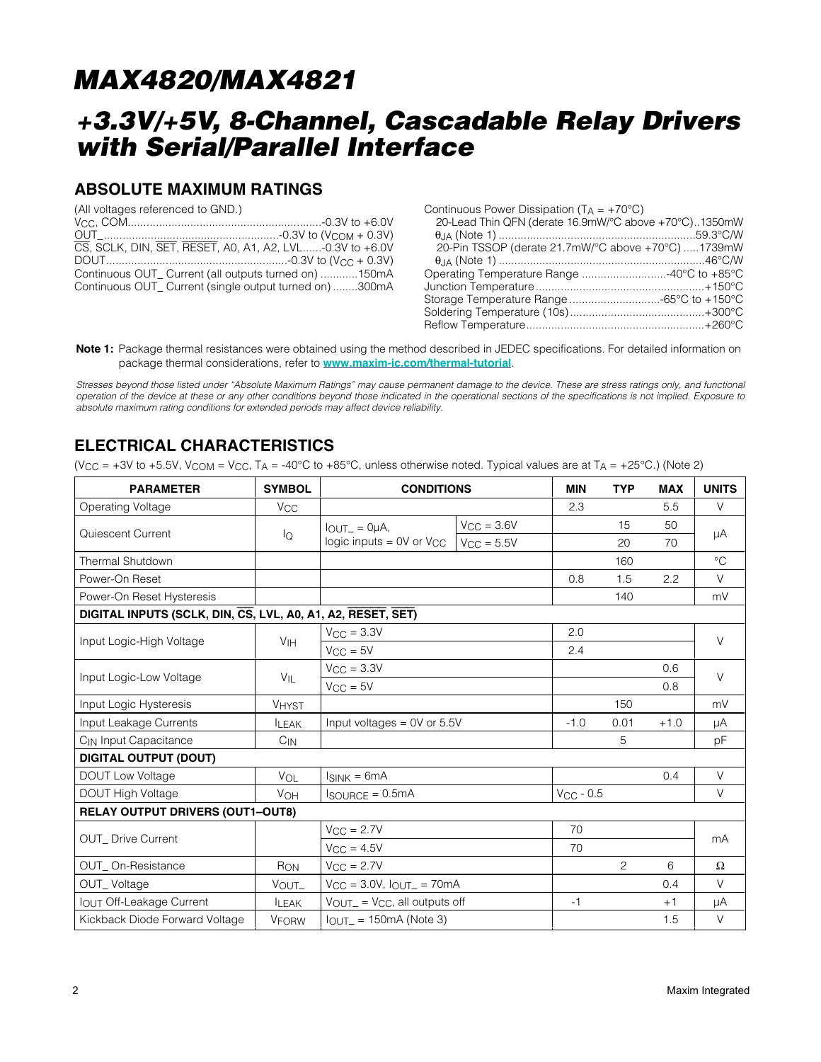## **+3.3V/+5V, 8-Channel, Cascadable Relay Drivers with Serial/Parallel Interface**

### **ABSOLUTE MAXIMUM RATINGS**

(All voltages referenced to GND.)

| Continuous Power Dissipation ( $T_A = +70^{\circ}C$ ) |  |
|-------------------------------------------------------|--|
| 20-Lead Thin QFN (derate 16.9mW/°C above +70°C)1350mW |  |
|                                                       |  |
| 20-Pin TSSOP (derate 21.7mW/°C above +70°C) 1739mW    |  |
|                                                       |  |
| Operating Temperature Range 40°C to +85°C             |  |
|                                                       |  |
|                                                       |  |
|                                                       |  |
|                                                       |  |

**Note 1:** Package thermal resistances were obtained using the method described in JEDEC specifications. For detailed information on package thermal considerations, refer to **www.maxim-ic.com/thermal-tutorial**.

Stresses beyond those listed under "Absolute Maximum Ratings" may cause permanent damage to the device. These are stress ratings only, and functional operation of the device at these or any other conditions beyond those indicated in the operational sections of the specifications is not implied. Exposure to absolute maximum rating conditions for extended periods may affect device reliability.

### **ELECTRICAL CHARACTERISTICS**

(V<sub>CC</sub> = +3V to +5.5V, V<sub>COM</sub> = V<sub>CC</sub>, T<sub>A</sub> = -40°C to +85°C, unless otherwise noted. Typical values are at T<sub>A</sub> = +25°C.) (Note 2)

| <b>PARAMETER</b>                                            | <b>SYMBOL</b>         | <b>CONDITIONS</b>                     |                 | <b>MIN</b>     | <b>TYP</b>     | <b>MAX</b> | <b>UNITS</b> |  |
|-------------------------------------------------------------|-----------------------|---------------------------------------|-----------------|----------------|----------------|------------|--------------|--|
| Operating Voltage                                           | <b>V<sub>CC</sub></b> |                                       |                 | 2.3            |                | 5.5        | $\vee$       |  |
| Quiescent Current                                           | lQ                    | $IOUT = 0µA,$                         | $V_{CC} = 3.6V$ |                | 15             | 50         | μA           |  |
|                                                             |                       | logic inputs = $0V$ or $V_{CC}$       | $V_{CC} = 5.5V$ |                | 20             | 70         |              |  |
| <b>Thermal Shutdown</b>                                     |                       |                                       |                 |                | 160            |            | $\circ$ C    |  |
| Power-On Reset                                              |                       |                                       |                 | 0.8            | 1.5            | 2.2        | $\vee$       |  |
| Power-On Reset Hysteresis                                   |                       |                                       |                 |                | 140            |            | mV           |  |
| DIGITAL INPUTS (SCLK, DIN, CS, LVL, A0, A1, A2, RESET, SET) |                       |                                       |                 |                |                |            |              |  |
| Input Logic-High Voltage                                    | V <sub>IH</sub>       | $V_{CC} = 3.3V$                       |                 | 2.0            |                |            | $\vee$       |  |
|                                                             |                       | $V_{CC} = 5V$                         |                 | 2.4            |                |            |              |  |
| Input Logic-Low Voltage                                     | $V_{IL}$              | $V_{CC} = 3.3V$                       |                 |                |                | 0.6        | $\vee$       |  |
|                                                             |                       | $V_{CC} = 5V$                         |                 |                |                | 0.8        |              |  |
| Input Logic Hysteresis                                      | <b>VHYST</b>          |                                       |                 |                | 150            |            | mV           |  |
| Input Leakage Currents                                      | <b>ILEAK</b>          | Input voltages = $0V$ or $5.5V$       |                 | $-1.0$         | 0.01           | $+1.0$     | μA           |  |
| C <sub>IN</sub> Input Capacitance                           | $C_{IN}$              |                                       |                 |                | 5              |            | рF           |  |
| <b>DIGITAL OUTPUT (DOUT)</b>                                |                       |                                       |                 |                |                |            |              |  |
| <b>DOUT Low Voltage</b>                                     | VOL                   | $I_{SINK} = 6mA$                      |                 |                |                | 0.4        | $\vee$       |  |
| DOUT High Voltage                                           | <b>VOH</b>            | $I_{\text{SOURCE}} = 0.5 \text{mA}$   |                 | $V_{CC}$ - 0.5 |                |            | $\vee$       |  |
| <b>RELAY OUTPUT DRIVERS (OUT1-OUT8)</b>                     |                       |                                       |                 |                |                |            |              |  |
|                                                             |                       | $V_{CC} = 2.7V$                       |                 | 70             |                |            |              |  |
| <b>OUT</b> Drive Current                                    |                       | $V_{CC} = 4.5V$                       |                 | 70             |                |            | mA           |  |
| OUT_On-Resistance                                           | RON                   | $V_{CC} = 2.7V$                       |                 |                | $\overline{c}$ | 6          | $\Omega$     |  |
| OUT_Voltage                                                 | VOUT_                 | $V_{CC} = 3.0V$ , $I_{OUT} = 70mA$    |                 |                |                | 0.4        | $\vee$       |  |
| <b>IOUT Off-Leakage Current</b>                             | <b>ILEAK</b>          | $V_{OUT-} = V_{CC}$ , all outputs off |                 | $-1$           |                | $+1$       | μA           |  |
| Kickback Diode Forward Voltage                              | <b>VFORW</b>          | $I_{OUT-} = 150mA$ (Note 3)           |                 |                |                | 1.5        | $\vee$       |  |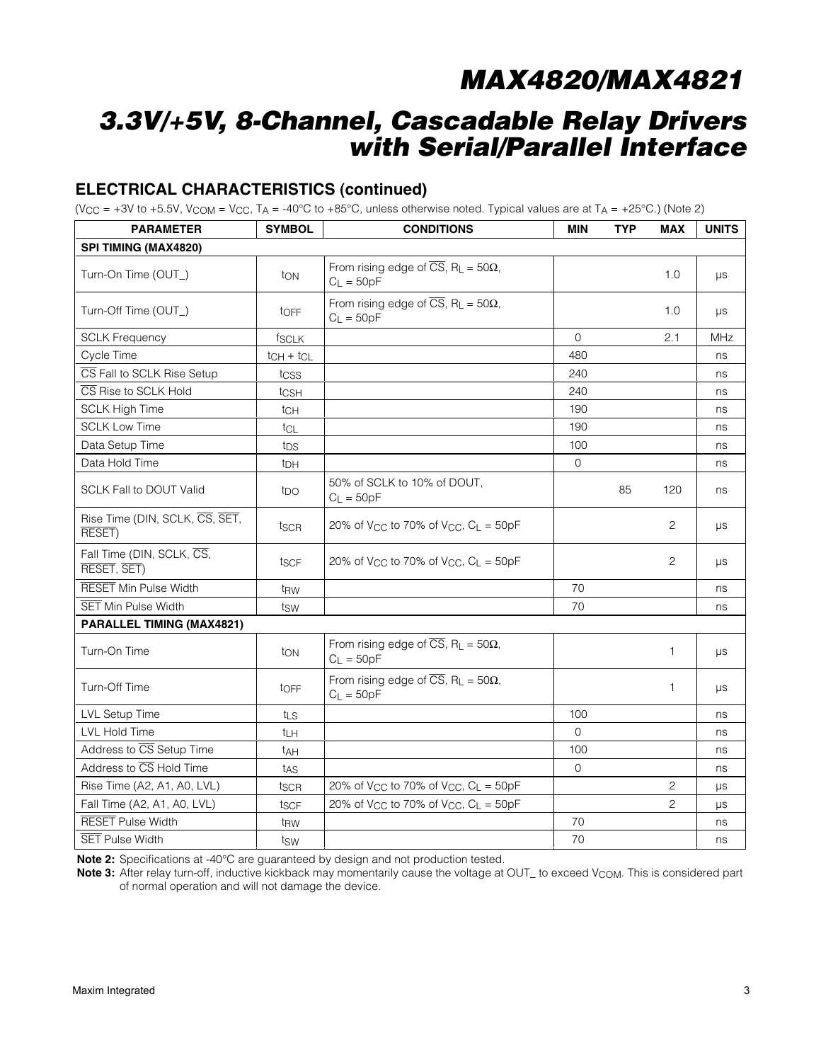# **3.3V/+5V, 8-Channel, Cascadable Relay Drivers with Serial/Parallel Interface**

### **ELECTRICAL CHARACTERISTICS (continued)**

(V<sub>CC</sub> = +3V to +5.5V, V<sub>COM</sub> = V<sub>CC</sub>, T<sub>A</sub> = -40°C to +85°C, unless otherwise noted. Typical values are at T<sub>A</sub> = +25°C.) (Note 2)

| <b>PARAMETER</b>                         | <b>SYMBOL</b>     | <b>CONDITIONS</b>                                                                    | <b>MIN</b>   | <b>TYP</b> | <b>MAX</b>     | <b>UNITS</b> |
|------------------------------------------|-------------------|--------------------------------------------------------------------------------------|--------------|------------|----------------|--------------|
| SPI TIMING (MAX4820)                     |                   |                                                                                      |              |            |                |              |
| Turn-On Time (OUT_)                      | ton               | From rising edge of $\overline{CS}$ , R <sub>L</sub> = 50 $\Omega$ ,<br>$C_L = 50pF$ |              |            | 1.0            | $\mu s$      |
| Turn-Off Time (OUT_)                     | toFF              | From rising edge of $\overline{CS}$ , R <sub>L</sub> = 50 $\Omega$ ,<br>$C_L = 50pF$ |              |            | 1.0            | $\mu s$      |
| <b>SCLK Frequency</b>                    | <sup>t</sup> SCLK |                                                                                      | $\Omega$     |            | 2.1            | <b>MHz</b>   |
| Cycle Time                               | $tCH + tCL$       |                                                                                      | 480          |            |                | ns           |
| CS Fall to SCLK Rise Setup               | tcss              |                                                                                      | 240          |            |                | ns           |
| CS Rise to SCLK Hold                     | tcsH              |                                                                                      | 240          |            |                | ns           |
| <b>SCLK High Time</b>                    | tch               |                                                                                      | 190          |            |                | ns           |
| <b>SCLK Low Time</b>                     | tcL               |                                                                                      | 190          |            |                | ns           |
| Data Setup Time                          | t <sub>DS</sub>   |                                                                                      | 100          |            |                | ns           |
| Data Hold Time                           | t <sub>DH</sub>   |                                                                                      | $\mathbf 0$  |            |                | ns           |
| <b>SCLK Fall to DOUT Valid</b>           | tpo               | 50% of SCLK to 10% of DOUT.<br>$C_L = 50pF$                                          |              | 85         | 120            | ns           |
| Rise Time (DIN, SCLK, CS, SET,<br>RESET) | tscr              | 20% of V <sub>CC</sub> to 70% of V <sub>CC</sub> , $C_L = 50pF$                      |              |            | 2              | $\mu s$      |
| Fall Time (DIN, SCLK, CS,<br>RESET, SET) | t <sub>SCF</sub>  | 20% of V <sub>CC</sub> to 70% of V <sub>CC</sub> , $C_L = 50pF$                      |              |            | 2              | $\mu s$      |
| <b>RESET Min Pulse Width</b>             | t <sub>RW</sub>   |                                                                                      | 70           |            |                | ns           |
| <b>SET Min Pulse Width</b>               | tsw               |                                                                                      | 70           |            |                | ns           |
| PARALLEL TIMING (MAX4821)                |                   |                                                                                      |              |            |                |              |
| Turn-On Time                             | ton               | From rising edge of $\overline{CS}$ , R <sub>L</sub> = 50 $\Omega$ ,<br>$C_L = 50pF$ |              |            | 1              | μs           |
| Turn-Off Time                            | toFF              | From rising edge of $\overline{CS}$ , R <sub>L</sub> = 50 $\Omega$ ,<br>$C_1 = 50pF$ |              |            | 1              | μs           |
| <b>LVL Setup Time</b>                    | tLS               |                                                                                      | 100          |            |                | ns           |
| <b>LVL Hold Time</b>                     | tLH               |                                                                                      | $\Omega$     |            |                | ns           |
| Address to CS Setup Time                 | t <sub>AH</sub>   |                                                                                      | 100          |            |                | ns           |
| Address to CS Hold Time                  | tas               |                                                                                      | $\mathbf{O}$ |            |                | ns           |
| Rise Time (A2, A1, A0, LVL)              | tscr              | 20% of V <sub>CC</sub> to 70% of V <sub>CC</sub> , $C_L = 50pF$                      |              |            | $\overline{c}$ | $\mu s$      |
| Fall Time (A2, A1, A0, LVL)              | tscF              | 20% of V <sub>CC</sub> to 70% of V <sub>CC</sub> , $C_L = 50pF$                      |              |            | $\overline{2}$ | $\mu s$      |
| <b>RESET</b> Pulse Width                 | t <sub>RW</sub>   |                                                                                      | 70           |            |                | ns           |
| <b>SET Pulse Width</b>                   | tsw               |                                                                                      | 70           |            |                | ns           |

**Note 2:** Specifications at -40°C are guaranteed by design and not production tested.

Note 3: After relay turn-off, inductive kickback may momentarily cause the voltage at OUT\_ to exceed V<sub>COM</sub>. This is considered part of normal operation and will not damage the device.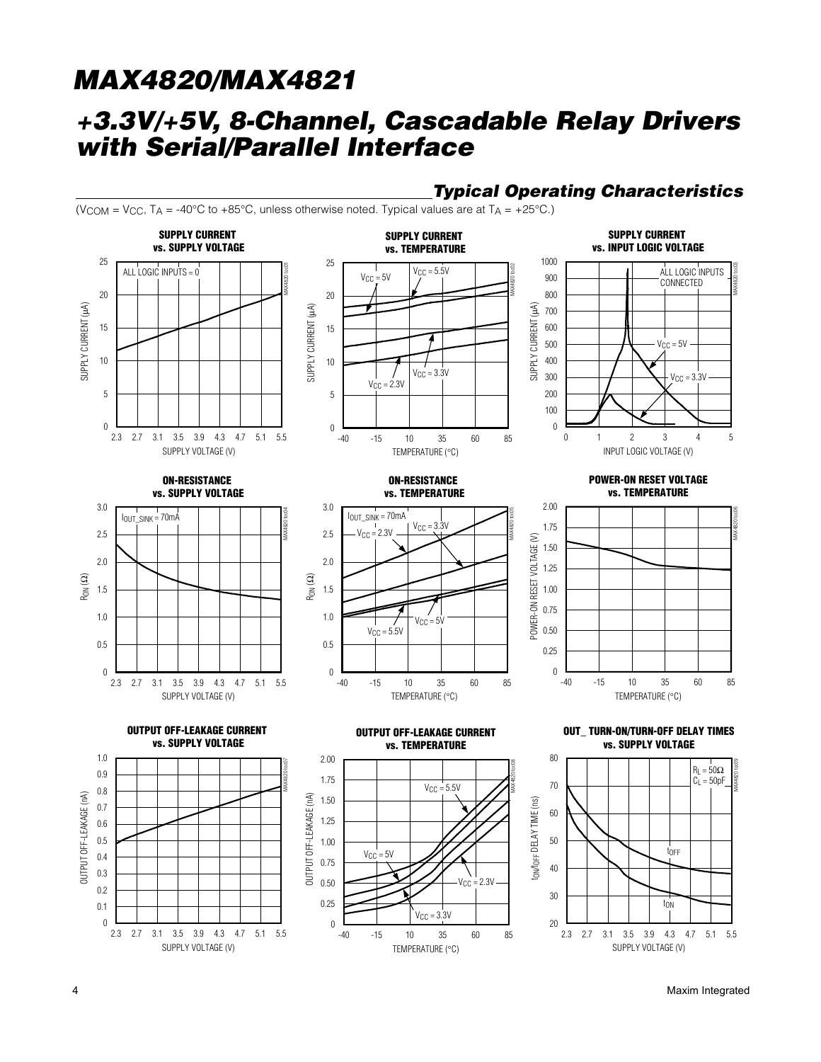### **+3.3V/+5V, 8-Channel, Cascadable Relay Drivers with Serial/Parallel Interface**



**Typical Operating Characteristics**

4 Maxim Integrated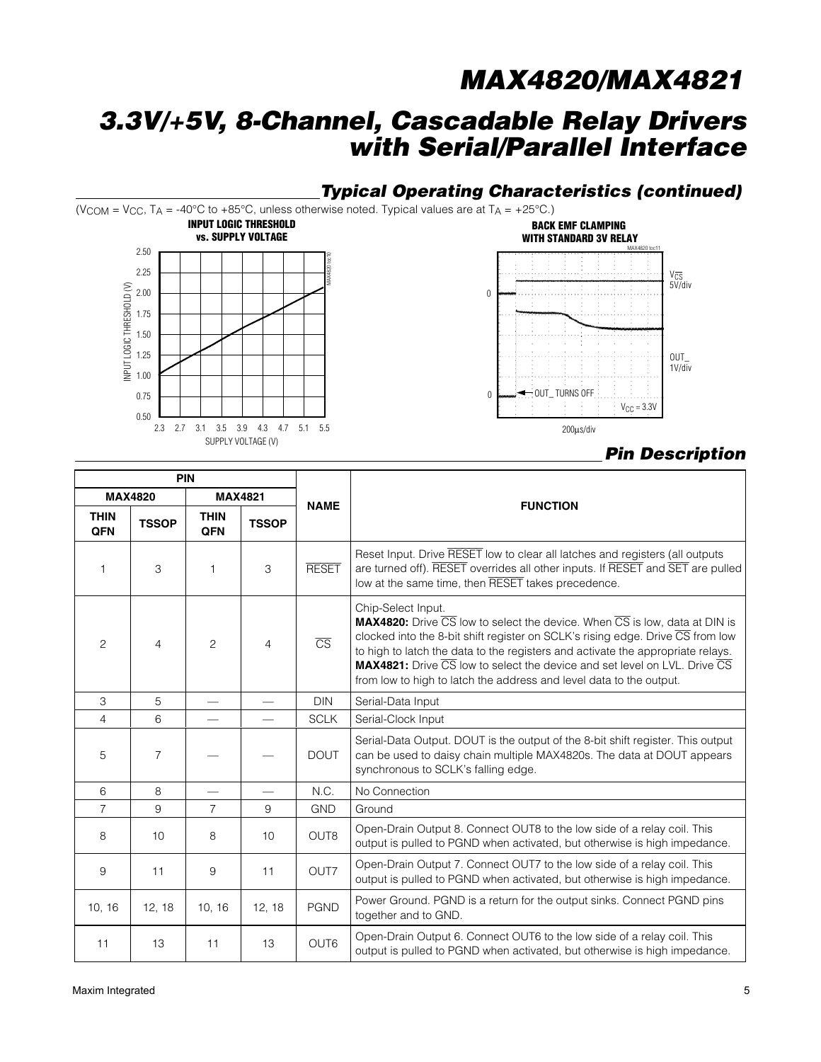## **3.3V/+5V, 8-Channel, Cascadable Relay Drivers with Serial/Parallel Interface**

### **Typical Operating Characteristics (continued)**

(V<sub>COM</sub> = V<sub>CC</sub>, T<sub>A</sub> = -40°C to +85°C, unless otherwise noted. Typical values are at T<sub>A</sub> = +25°C.)





### **Pin Description**

|                           | <b>PIN</b>     |                    |                          |                        |                                                                                                                                                                                                                                                                                                                                                                                                                                         |
|---------------------------|----------------|--------------------|--------------------------|------------------------|-----------------------------------------------------------------------------------------------------------------------------------------------------------------------------------------------------------------------------------------------------------------------------------------------------------------------------------------------------------------------------------------------------------------------------------------|
|                           | <b>MAX4820</b> |                    | <b>MAX4821</b>           | <b>NAME</b>            |                                                                                                                                                                                                                                                                                                                                                                                                                                         |
| <b>THIN</b><br><b>QFN</b> | <b>TSSOP</b>   | <b>THIN</b><br>QFN | <b>TSSOP</b>             |                        | <b>FUNCTION</b>                                                                                                                                                                                                                                                                                                                                                                                                                         |
| $\mathbf{1}$              | 3              | $\mathbf{1}$       | 3                        | <b>RESET</b>           | Reset Input. Drive RESET low to clear all latches and registers (all outputs<br>are turned off). RESET overrides all other inputs. If RESET and SET are pulled<br>low at the same time, then RESET takes precedence.                                                                                                                                                                                                                    |
| $\overline{c}$            | $\overline{4}$ | $\overline{c}$     | $\overline{4}$           | $\overline{\text{CS}}$ | Chip-Select Input.<br><b>MAX4820:</b> Drive CS low to select the device. When CS is low, data at DIN is<br>clocked into the 8-bit shift register on SCLK's rising edge. Drive CS from low<br>to high to latch the data to the registers and activate the appropriate relays.<br><b>MAX4821:</b> Drive CS low to select the device and set level on LVL. Drive CS<br>from low to high to latch the address and level data to the output. |
| 3                         | 5              |                    | $\overline{\phantom{0}}$ | <b>DIN</b>             | Serial-Data Input                                                                                                                                                                                                                                                                                                                                                                                                                       |
| $\overline{4}$            | 6              |                    |                          | <b>SCLK</b>            | Serial-Clock Input                                                                                                                                                                                                                                                                                                                                                                                                                      |
| 5                         | $\overline{7}$ |                    |                          | <b>DOUT</b>            | Serial-Data Output. DOUT is the output of the 8-bit shift register. This output<br>can be used to daisy chain multiple MAX4820s. The data at DOUT appears<br>synchronous to SCLK's falling edge.                                                                                                                                                                                                                                        |
| 6                         | 8              |                    |                          | N.C.                   | No Connection                                                                                                                                                                                                                                                                                                                                                                                                                           |
| $\overline{7}$            | 9              | $\overline{7}$     | 9                        | <b>GND</b>             | Ground                                                                                                                                                                                                                                                                                                                                                                                                                                  |
| 8                         | 10             | 8                  | 10                       | OUT8                   | Open-Drain Output 8. Connect OUT8 to the low side of a relay coil. This<br>output is pulled to PGND when activated, but otherwise is high impedance.                                                                                                                                                                                                                                                                                    |
| 9                         | 11             | 9                  | 11                       | OUT7                   | Open-Drain Output 7. Connect OUT7 to the low side of a relay coil. This<br>output is pulled to PGND when activated, but otherwise is high impedance.                                                                                                                                                                                                                                                                                    |
| 10, 16                    | 12, 18         | 10, 16             | 12, 18                   | <b>PGND</b>            | Power Ground. PGND is a return for the output sinks. Connect PGND pins<br>together and to GND.                                                                                                                                                                                                                                                                                                                                          |
| 11                        | 13             | 11                 | 13                       | OUT6                   | Open-Drain Output 6. Connect OUT6 to the low side of a relay coil. This<br>output is pulled to PGND when activated, but otherwise is high impedance.                                                                                                                                                                                                                                                                                    |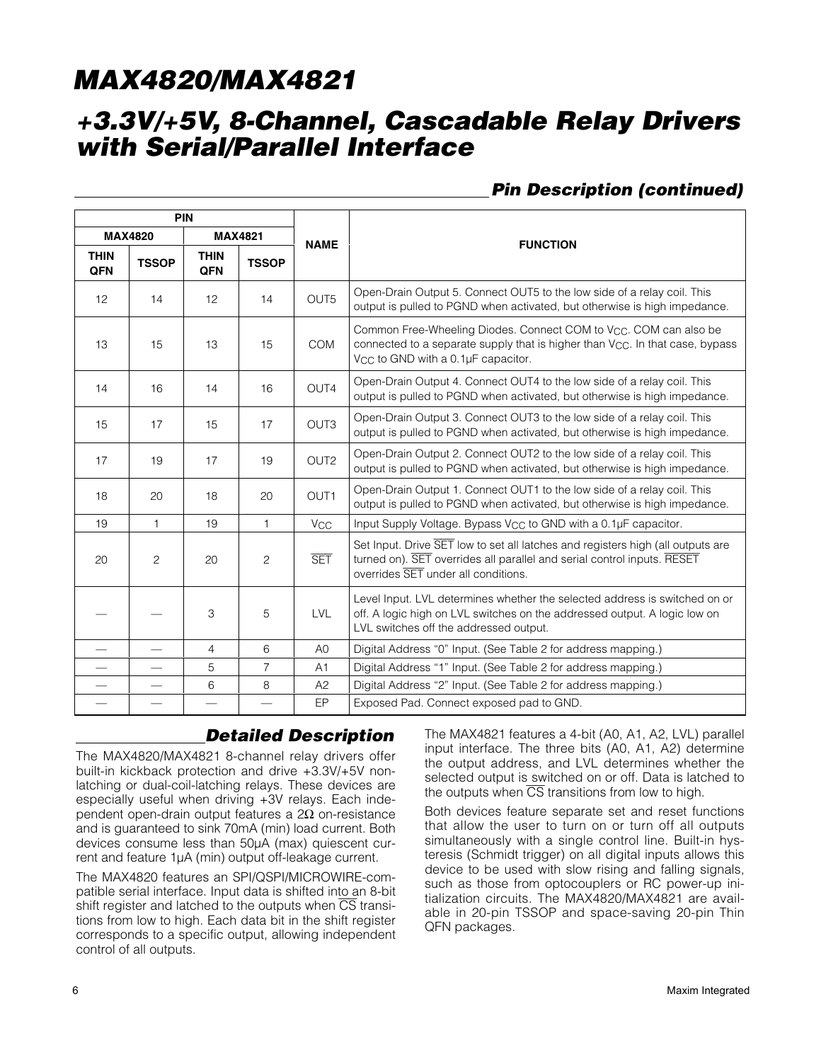# **+3.3V/+5V, 8-Channel, Cascadable Relay Drivers with Serial/Parallel Interface**

### **Pin Description (continued)**

| <b>PIN</b>         |                |                    |                |                       |                                                                                                                                                                                                                              |
|--------------------|----------------|--------------------|----------------|-----------------------|------------------------------------------------------------------------------------------------------------------------------------------------------------------------------------------------------------------------------|
|                    | <b>MAX4820</b> |                    | <b>MAX4821</b> | <b>NAME</b>           | <b>FUNCTION</b>                                                                                                                                                                                                              |
| <b>THIN</b><br>QFN | <b>TSSOP</b>   | <b>THIN</b><br>QFN | <b>TSSOP</b>   |                       |                                                                                                                                                                                                                              |
| 12                 | 14             | 12                 | 14             | OUT <sub>5</sub>      | Open-Drain Output 5. Connect OUT5 to the low side of a relay coil. This<br>output is pulled to PGND when activated, but otherwise is high impedance.                                                                         |
| 13                 | 15             | 13                 | 15             | <b>COM</b>            | Common Free-Wheeling Diodes. Connect COM to V <sub>CC</sub> . COM can also be<br>connected to a separate supply that is higher than V <sub>CC</sub> . In that case, bypass<br>V <sub>CC</sub> to GND with a 0.1µF capacitor. |
| 14                 | 16             | 14                 | 16             | OUT4                  | Open-Drain Output 4. Connect OUT4 to the low side of a relay coil. This<br>output is pulled to PGND when activated, but otherwise is high impedance.                                                                         |
| 15                 | 17             | 15                 | 17             | OUT <sub>3</sub>      | Open-Drain Output 3. Connect OUT3 to the low side of a relay coil. This<br>output is pulled to PGND when activated, but otherwise is high impedance.                                                                         |
| 17                 | 19             | 17                 | 19             | OUT <sub>2</sub>      | Open-Drain Output 2. Connect OUT2 to the low side of a relay coil. This<br>output is pulled to PGND when activated, but otherwise is high impedance.                                                                         |
| 18                 | 20             | 18                 | 20             | OUT <sub>1</sub>      | Open-Drain Output 1. Connect OUT1 to the low side of a relay coil. This<br>output is pulled to PGND when activated, but otherwise is high impedance.                                                                         |
| 19                 | $\mathbf{1}$   | 19                 | 1              | <b>V<sub>CC</sub></b> | Input Supply Voltage. Bypass V <sub>CC</sub> to GND with a 0.1µF capacitor.                                                                                                                                                  |
| 20                 | 2              | 20                 | $\overline{c}$ | <b>SET</b>            | Set Input. Drive SET low to set all latches and registers high (all outputs are<br>turned on). SET overrides all parallel and serial control inputs. RESET<br>overrides SET under all conditions.                            |
|                    |                | 3                  | 5              | LVL                   | Level Input. LVL determines whether the selected address is switched on or<br>off. A logic high on LVL switches on the addressed output. A logic low on<br>LVL switches off the addressed output.                            |
|                    |                | $\overline{4}$     | 6              | A <sub>0</sub>        | Digital Address "0" Input. (See Table 2 for address mapping.)                                                                                                                                                                |
|                    |                | 5                  | $\overline{7}$ | A1                    | Digital Address "1" Input. (See Table 2 for address mapping.)                                                                                                                                                                |
|                    |                | 6                  | 8              | A2                    | Digital Address "2" Input. (See Table 2 for address mapping.)                                                                                                                                                                |
|                    |                |                    |                | EP                    | Exposed Pad. Connect exposed pad to GND.                                                                                                                                                                                     |

### **Detailed Description**

The MAX4820/MAX4821 8-channel relay drivers offer built-in kickback protection and drive +3.3V/+5V nonlatching or dual-coil-latching relays. These devices are especially useful when driving +3V relays. Each independent open-drain output features a 2Ω on-resistance and is guaranteed to sink 70mA (min) load current. Both devices consume less than 50µA (max) quiescent current and feature 1µA (min) output off-leakage current.

The MAX4820 features an SPI/QSPI/MICROWIRE-compatible serial interface. Input data is shifted into an 8-bit shift register and latched to the outputs when  $\overline{\text{CS}}$  transitions from low to high. Each data bit in the shift register corresponds to a specific output, allowing independent control of all outputs.

The MAX4821 features a 4-bit (A0, A1, A2, LVL) parallel input interface. The three bits (A0, A1, A2) determine the output address, and LVL determines whether the selected output is switched on or off. Data is latched to the outputs when  $\overline{CS}$  transitions from low to high.

Both devices feature separate set and reset functions that allow the user to turn on or turn off all outputs simultaneously with a single control line. Built-in hysteresis (Schmidt trigger) on all digital inputs allows this device to be used with slow rising and falling signals, such as those from optocouplers or RC power-up initialization circuits. The MAX4820/MAX4821 are available in 20-pin TSSOP and space-saving 20-pin Thin QFN packages.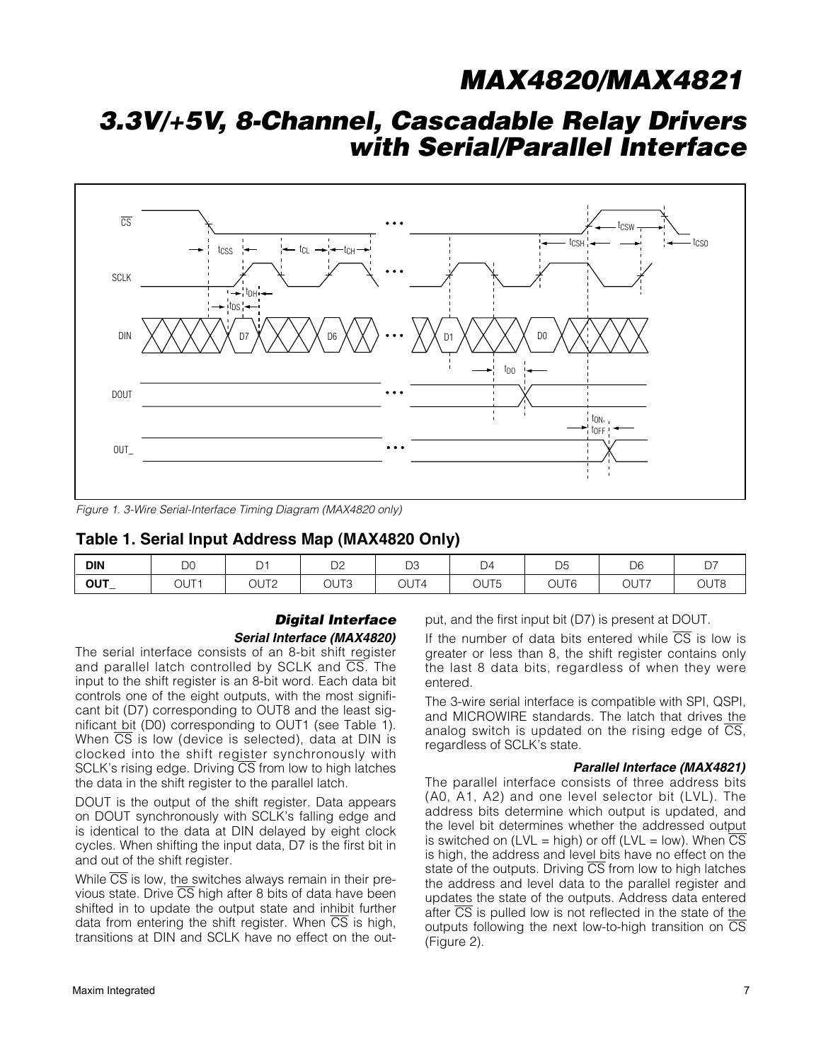## **3.3V/+5V, 8-Channel, Cascadable Relay Drivers with Serial/Parallel Interface**



Figure 1. 3-Wire Serial-Interface Timing Diagram (MAX4820 only)

#### **Table 1. Serial Input Address Map (MAX4820 Only)**

| <b>DIN</b> | $\Gamma$<br>υu      | $\overline{\phantom{0}}$<br>ັ | $\bigcap$<br>◡∠  | n o<br>◡<br>$\sim$ | D4   | <b>DE</b><br>◡ | D <sub>6</sub> | $\sim$ -<br>، ب |
|------------|---------------------|-------------------------------|------------------|--------------------|------|----------------|----------------|-----------------|
| <b>OUT</b> | T<br>$\sim$<br>ו טע | ∩חו∩<br>ו טע<br>∸<br>___      | OUT <sub>3</sub> | OUT4               | OUT5 | OUT6           | OUT7           | OUT8            |

#### **Digital Interface Serial Interface (MAX4820)**

The serial interface consists of an 8-bit shift register and parallel latch controlled by SCLK and  $\overline{\text{CS}}$ . The input to the shift register is an 8-bit word. Each data bit controls one of the eight outputs, with the most significant bit (D7) corresponding to OUT8 and the least significant bit (D0) corresponding to OUT1 (see Table 1). When  $\overline{CS}$  is low (device is selected), data at DIN is clocked into the shift register synchronously with SCLK's rising edge. Driving  $\overline{\text{CS}}$  from low to high latches the data in the shift register to the parallel latch.

DOUT is the output of the shift register. Data appears on DOUT synchronously with SCLK's falling edge and is identical to the data at DIN delayed by eight clock cycles. When shifting the input data, D7 is the first bit in and out of the shift register.

While  $\overline{CS}$  is low, the switches always remain in their previous state. Drive  $\overline{\text{CS}}$  high after 8 bits of data have been shifted in to update the output state and inhibit further data from entering the shift register. When  $\overline{CS}$  is high, transitions at DIN and SCLK have no effect on the output, and the first input bit (D7) is present at DOUT.

If the number of data bits entered while  $\overline{CS}$  is low is greater or less than 8, the shift register contains only the last 8 data bits, regardless of when they were entered.

The 3-wire serial interface is compatible with SPI, QSPI, and MICROWIRE standards. The latch that drives the analog switch is updated on the rising edge of  $\overline{CS}$ , regardless of SCLK's state.

#### **Parallel Interface (MAX4821)**

The parallel interface consists of three address bits (A0, A1, A2) and one level selector bit (LVL). The address bits determine which output is updated, and the level bit determines whether the addressed output is switched on (LVL = high) or off (LVL = low). When  $\overline{CS}$ is high, the address and level bits have no effect on the state of the outputs. Driving  $\overline{CS}$  from low to high latches the address and level data to the parallel register and updates the state of the outputs. Address data entered after CS is pulled low is not reflected in the state of the outputs following the next low-to-high transition on  $\overline{\text{CS}}$ (Figure 2).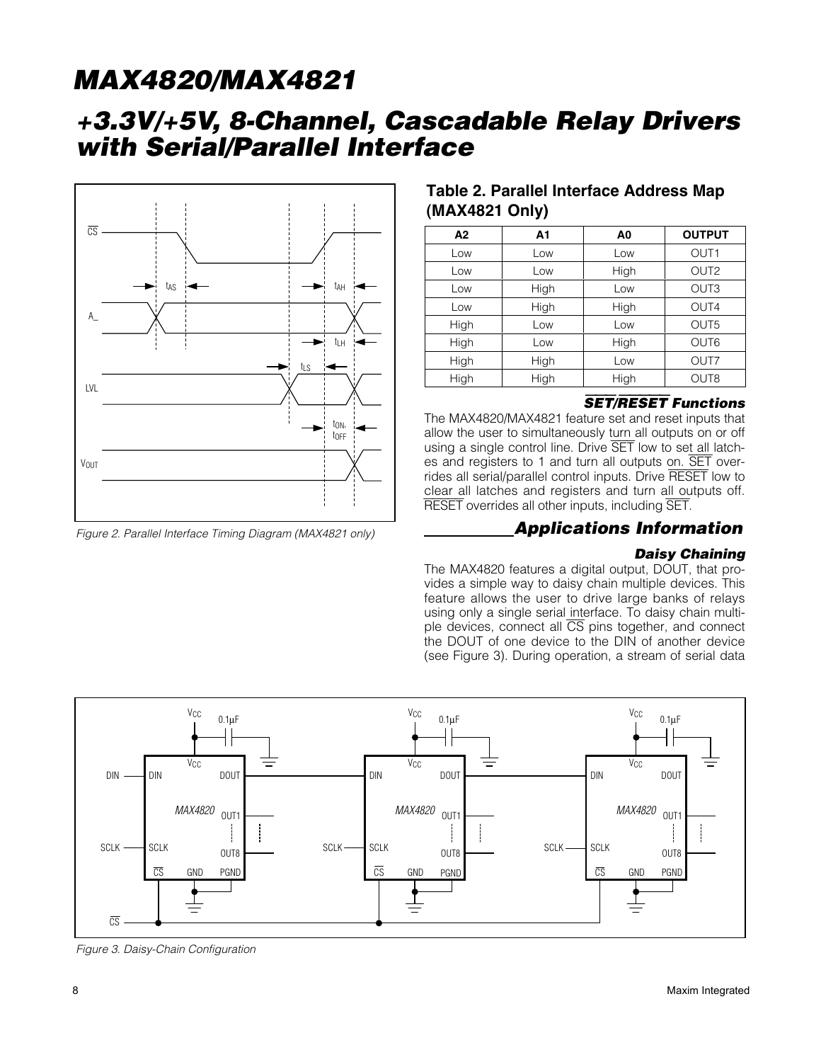### **+3.3V/+5V, 8-Channel, Cascadable Relay Drivers with Serial/Parallel Interface**



Figure 2. Parallel Interface Timing Diagram (MAX4821 only)

### **Table 2. Parallel Interface Address Map (MAX4821 Only)**

| A2   | A1   | A0   | <b>OUTPUT</b>    |
|------|------|------|------------------|
| Low  | Low  | Low  | OUT <sub>1</sub> |
| Low  | Low  | High | OUT <sub>2</sub> |
| Low  | High | Low  | OUT <sub>3</sub> |
| Low  | High | High | OUT4             |
| High | Low  | Low  | OUT <sub>5</sub> |
| High | Low  | High | OUT6             |
| High | High | Low  | OUT7             |
| High | High | High | OUT <sub>8</sub> |

#### SET**/**RESET **Functions**

The MAX4820/MAX4821 feature set and reset inputs that allow the user to simultaneously turn all outputs on or off using a single control line. Drive SET low to set all latches and registers to 1 and turn all outputs on. SET overrides all serial/parallel control inputs. Drive RESET low to clear all latches and registers and turn all outputs off. RESET overrides all other inputs, including SET.

### **Applications Information**

#### **Daisy Chaining**

The MAX4820 features a digital output, DOUT, that provides a simple way to daisy chain multiple devices. This feature allows the user to drive large banks of relays using only a single serial interface. To daisy chain multiple devices, connect all CS pins together, and connect the DOUT of one device to the DIN of another device (see Figure 3). During operation, a stream of serial data



Figure 3. Daisy-Chain Configuration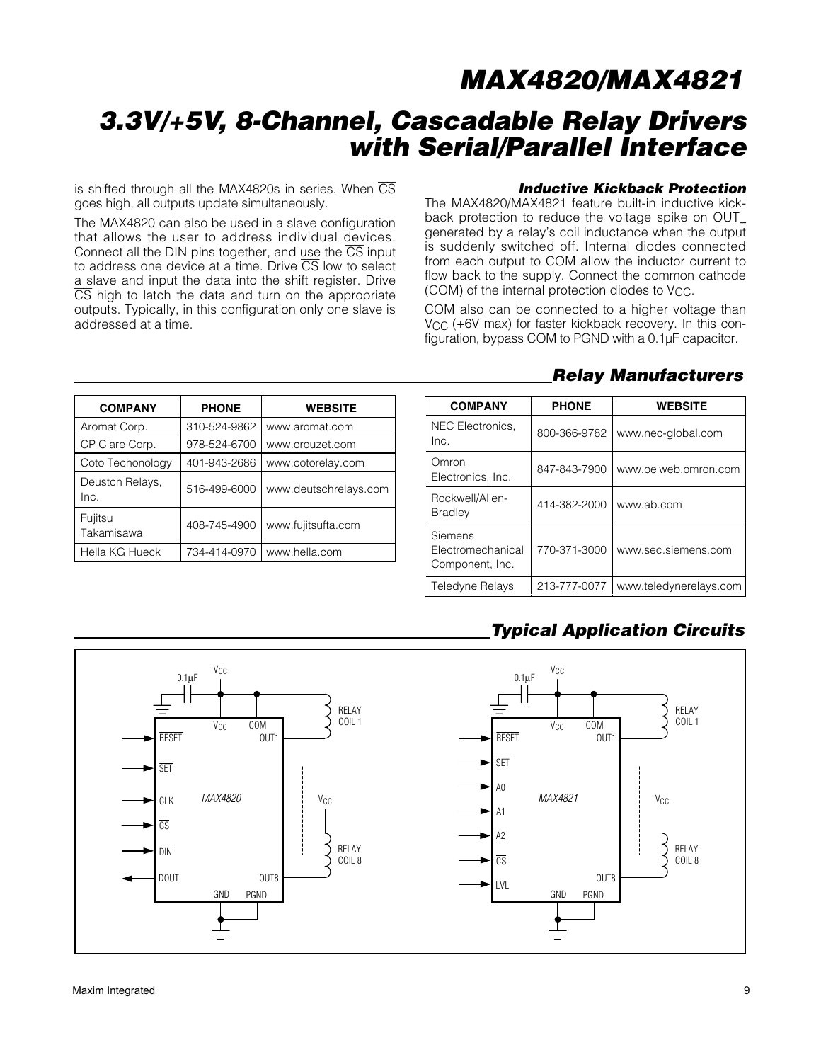# **3.3V/+5V, 8-Channel, Cascadable Relay Drivers with Serial/Parallel Interface**

is shifted through all the MAX4820s in series. When  $\overline{\text{CS}}$ goes high, all outputs update simultaneously.

The MAX4820 can also be used in a slave configuration that allows the user to address individual devices. Connect all the DIN pins together, and use the  $\overline{\text{CS}}$  input to address one device at a time. Drive  $\overline{\text{CS}}$  low to select a slave and input the data into the shift register. Drive  $\overline{CS}$  high to latch the data and turn on the appropriate outputs. Typically, in this configuration only one slave is addressed at a time.

#### **Inductive Kickback Protection**

The MAX4820/MAX4821 feature built-in inductive kickback protection to reduce the voltage spike on OUT\_ generated by a relay's coil inductance when the output is suddenly switched off. Internal diodes connected from each output to COM allow the inductor current to flow back to the supply. Connect the common cathode (COM) of the internal protection diodes to Vcc.

COM also can be connected to a higher voltage than V<sub>CC</sub> (+6V max) for faster kickback recovery. In this configuration, bypass COM to PGND with a 0.1µF capacitor.

| <b>COMPANY</b>          | <b>PHONE</b> | <b>WEBSITE</b>        |
|-------------------------|--------------|-----------------------|
| Aromat Corp.            | 310-524-9862 | www.aromat.com        |
| CP Clare Corp.          | 978-524-6700 | www.crouzet.com       |
| Coto Techonology        | 401-943-2686 | www.cotorelay.com     |
| Deustch Relays,<br>Inc. | 516-499-6000 | www.deutschrelays.com |
| Fujitsu<br>Takamisawa   | 408-745-4900 | www.fujitsufta.com    |
| Hella KG Hueck          | 734-414-0970 | www.hella.com         |

### **Relay Manufacturers**

| <b>COMPANY</b>                                  | <b>PHONE</b> | <b>WEBSITE</b>         |
|-------------------------------------------------|--------------|------------------------|
| NEC Electronics.<br>Inc.                        | 800-366-9782 | www.nec-global.com     |
| Omron<br>Electronics, Inc.                      | 847-843-7900 | www.oeiweb.omron.com   |
| Rockwell/Allen-<br><b>Bradley</b>               | 414-382-2000 | www.ab.com             |
| Siemens<br>Electromechanical<br>Component, Inc. | 770-371-3000 | www.sec.siemens.com    |
| Teledyne Relays                                 | 213-777-0077 | www.teledynerelays.com |

### **Typical Application Circuits**

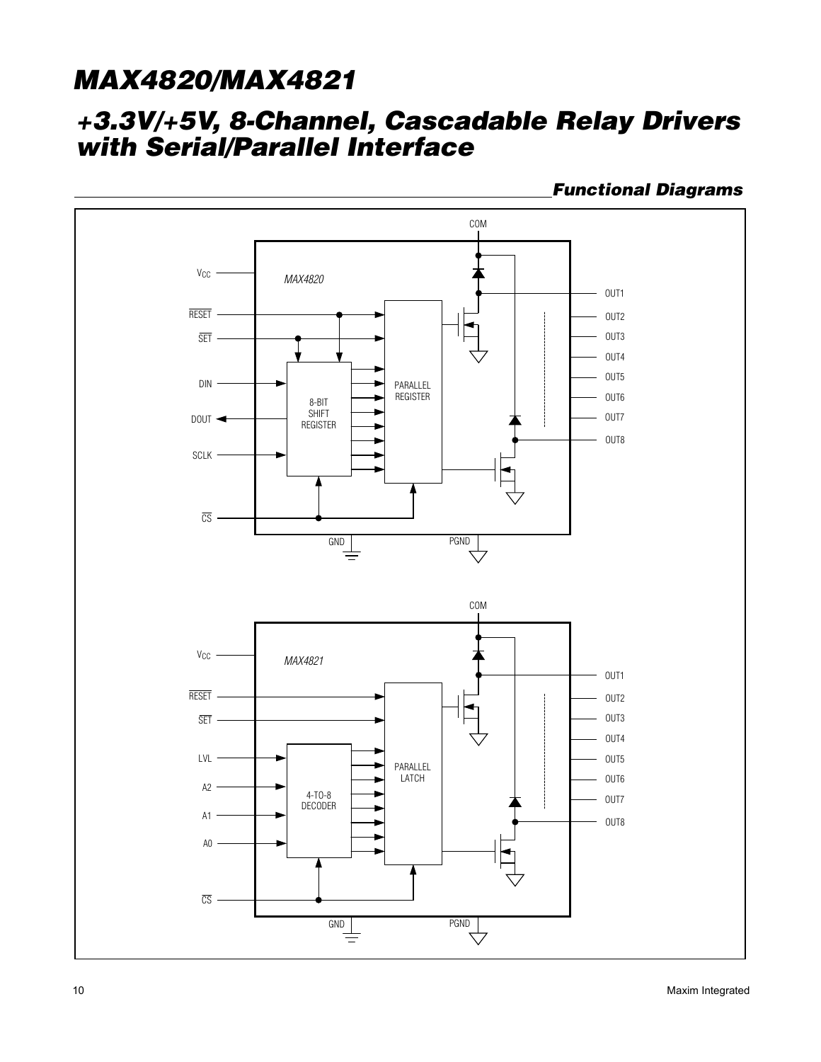## **+3.3V/+5V, 8-Channel, Cascadable Relay Drivers with Serial/Parallel Interface**

**Functional Diagrams**

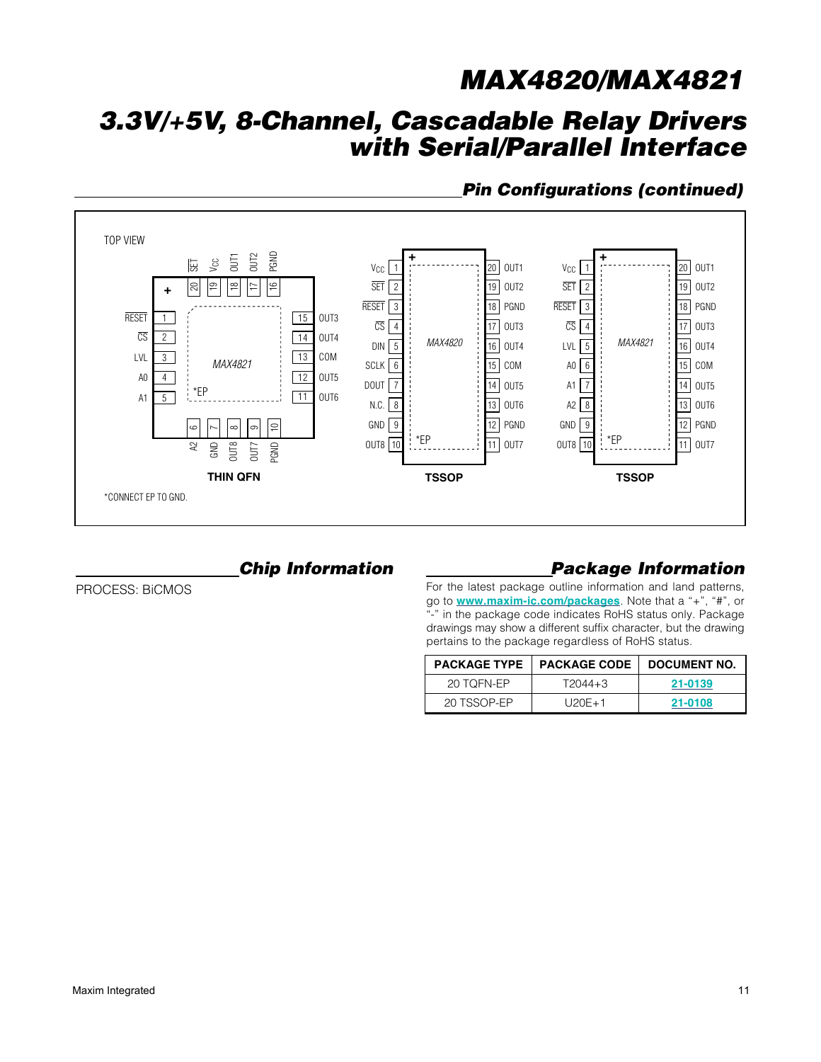# **3.3V/+5V, 8-Channel, Cascadable Relay Drivers with Serial/Parallel Interface**

### **Pin Configurations (continued)**



### **Chip Information**

PROCESS: BiCMOS

### **Package Information**

For the latest package outline information and land patterns, go to **www.maxim-ic.com/packages**. Note that a "+", "#", or "-" in the package code indicates RoHS status only. Package drawings may show a different suffix character, but the drawing pertains to the package regardless of RoHS status.

|             | <b>PACKAGE TYPE   PACKAGE CODE</b> | DOCUMENT NO. |
|-------------|------------------------------------|--------------|
| 20 TOFN-EP  | T2044+3                            | 21-0139      |
| 20 TSSOP-FP | $1120F + 1$                        | 21-0108      |